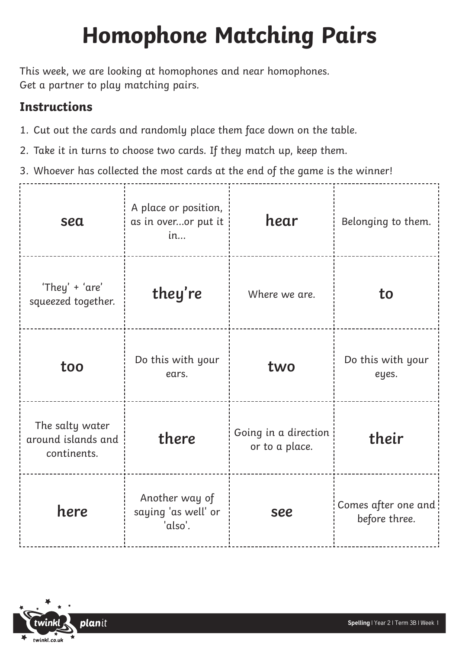## **Homophone Matching Pairs**

This week, we are looking at homophones and near homophones. Get a partner to play matching pairs.

## **Instructions**

- 1. Cut out the cards and randomly place them face down on the table.
- 2. Take it in turns to choose two cards. If they match up, keep them.
- 3. Whoever has collected the most cards at the end of the game is the winner!

| sea                                                  | A place or position,<br>as in overor put it<br>in | hear                                   | Belonging to them.                   |
|------------------------------------------------------|---------------------------------------------------|----------------------------------------|--------------------------------------|
| 'They' + 'are'<br>squeezed together.                 | they're                                           | Where we are.                          | to                                   |
| too                                                  | Do this with your<br>ears.                        | two                                    | Do this with your<br>eyes.           |
| The salty water<br>around islands and<br>continents. | there                                             | Going in a direction<br>or to a place. | their                                |
| here                                                 | Another way of<br>saying 'as well' or<br>'also'.  | see                                    | Comes after one and<br>before three. |

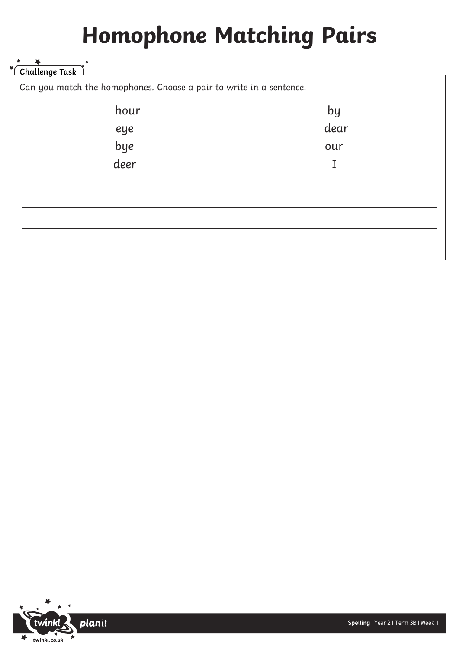## **Homophone Matching Pairs**

| Challenge Task                                                      |      |
|---------------------------------------------------------------------|------|
| Can you match the homophones. Choose a pair to write in a sentence. |      |
| hour                                                                | by   |
| eye                                                                 | dear |
| bye                                                                 | our  |
| deer                                                                |      |
|                                                                     |      |
|                                                                     |      |
|                                                                     |      |
|                                                                     |      |
|                                                                     |      |